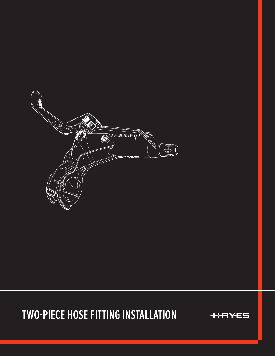

## **TWO-PIECE HOSE FITTING INSTALLATION**



**TWO-PIECE HOSE FITTING INSTALLATION 1**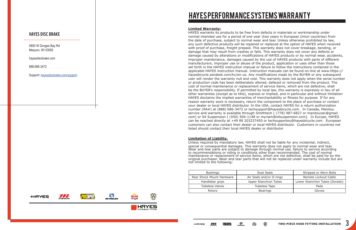## HAYES PERFORMANCE SYSTEMS WARRANTY

5800 W Donges Bay Rd Mequon, WI 53092

hayesdiscbrake.com

888.686.3472

Support: [hayesdiscbrake.com/support](https://hayesbicycle.zendesk.com/hc/en-us)

### **HAYES DISC BRAKE**

### **Limited Warranty:**

HAYES warrants its products to be free from defects in materials or workmanship under normal intended use for a period of one year (two years in European Union countries) from the date of purchase, subject to normal wear and tear. Unless otherwise prohibited by law, any such defective products will be repaired or replaced at the option of HAYES when received with proof of purchase, freight prepaid. This warranty does not cover breakage, bending, or damage that may result from crashes or falls. This warranty does not cover any defects or damage caused by alterations or modifications of HAYES products or by normal wear, accidents, improper maintenance, damages caused by the use of HAYES products with parts of different manufacturers, improper use or abuse of the product, application or uses other than those set forth in the HAYES instruction manual or failure to follow the instructions contained in the applicable HAYES instruction manual. Instruction manuals can be found on-line at www.https:// hayesbicycle.zendesk.com/hc/en-us. Any modifications made by the BUYER or any subsequent user will render the warranty null and void. This warranty does not apply when the serial number or production code has been deliberately altered, defaced or removed from the product. The cost of normal maintenance or replacement of service items, which are not defective, shall be the BUYER's responsibility. If permitted by local law, this warranty is expressly in lieu of all other warranties (except as to title), express or implied, and in particular and without limitation HAYES disclaims the implied warranties of merchantability or fitness for purpose If for any reason warranty work is necessary, return the component to the place of purchase or contact your dealer or local HAYES distributor. In the USA, contact HAYES for a return authorization number (RA#) at (888) 686-3472 or techsupport@hayesbicycle.com. In Canada, Manitou service and warranty is available through Smithtech [ (778) 987-6827 or manitouzac@gmail. com] or S4 Suspension [ (450) 504-1148 or myriam@s4suspension.com]. In Europe, HAYES can be reached directly at +49 89 203237450 or techsupporteu@hayesbicycle.com. European customers can also contact their dealer or local HAYES distributor. Customers in countries not listed should contact their local HAYES dealer or distributor

### **Limitation of Liability.**

Unless required by mandatory law, HAYES shall not be liable for any incidental, indirect, special or consequential damages. This warranty does not apply to normal wear and tear. Wear and tear parts are subject to damage through normal use, failure to service according to recommendations or riding in conditions other than recommended. The cost of normal maintenance or replacement of service items, which are not defective, shall be paid for by the original purchaser. Wear and tear parts that will not be replaced under warranty include but are not limited to the following:

| <b>Bushings</b>           | Dust Seals                   | Stripped or Worn Bolts         |
|---------------------------|------------------------------|--------------------------------|
| Rear Shock Mount Hardware | Air Seals and/or O-rings     | Remote Lockout Cable           |
| Handlebar grips           | <b>Upper Stanchion Tubes</b> | Lower Stanchion Tubes (Dorado) |
| <b>Tubeless Valves</b>    | Tubeless Tape                | Pads                           |
| Rotors                    | <b>Bearings</b>              | Gloves                         |

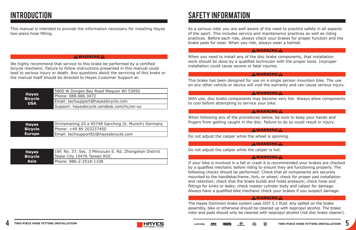This manual is intended to provide the information necessary for installing Hayes two-piece hose fitting.

# INTRODUCTION SAFETY INFORMATION

We highly recommend that service to this brake be performed by a certified bicycle mechanic. Failure to follow instructions presented in this manual could lead to serious injury or death. Any questions about the servicing of this brake or the manual itself should be directed to Hayes Customer Support at:

### **! WARNING !**

| <b>Hayes</b><br><b>Bicycle</b><br><b>USA</b> | 5800 W Donges Bay Road Mequon WI 53092     |
|----------------------------------------------|--------------------------------------------|
|                                              | Phone: 888.686.3472                        |
|                                              | Email: techsupport@hayesbicycle.com        |
|                                              | Support: hayesbicycle.zendesk.com/hc/en-us |

| <b>Hayes</b>   | Dirnismaning 20 a 85748 Garching (b. Munich) Germany |
|----------------|------------------------------------------------------|
| <b>Bicycle</b> | Phone: +49 89 203237450                              |
| <b>Europe</b>  | Email: techsupportEU@hayesbicycle.com                |

| <b>Hayes</b>   | 16F, No. 37, Sec. 3 Mincyuan E. Rd. Zhongshan District |
|----------------|--------------------------------------------------------|
| <b>Bicycle</b> | Taipei City 10476 Taiwan ROC                           |
| <b>Asia</b>    | Phone: 886-2-2518-1108                                 |

As a serious rider you are well aware of the need to practice safety in all aspects of the sport. This includes service and maintenance practices as well as riding practices. Before each ride, always check your brakes for proper function and the brake pads for wear. When you ride, always wear a helmet.

When you need to install any of the disc brake components, that installation work should be done by a qualified technician with the proper tools. Improper installation could cause severe or fatal injuries.

### **! WARNING !**

This brake has been designed for use on a single person mountain bike. The use on any other vehicle or device will void the warranty and can cause serious injury.

### **! WARNING !**

With use, disc brake components may become very hot. Always allow components to cool before attempting to service your bike.

### **! WARNING !**

When following any of the procedures below, be sure to keep your hands and fingers from getting caught in the disc. Failure to do so could result in injury.

### **! WARNING !**

Do not adjust the caliper while the wheel is spinning.

### **! WARNING !**

Do not adjust the caliper while the caliper is hot.

### **! WARNING !**

If your bike is involved in a fall or crash it is recommended your brakes are checked by a qualified mechanic before riding to ensure they are functioning properly. The following checks should be performed: Check that all components are securely mounted to the handlebar,frame, fork, or wheel; check for proper pad installation and retention; check that the brake builds and holds pressure; check hose and fittings for kinks or leaks; check master cylinder body and caliper for damage. Always have a qualified bike mechanic check your brakes if you suspect damage.

### **! WARNING !**

The Hayes Dominion brake system uses DOT 5.1 fluid. Any spilled on the brake assembly, bike or otherwise should be cleaned up with isopropyl alcohol. The brake rotor and pads should only be cleaned with isopropyl alcohol (not disc brake cleaner).



### **! WARNING !**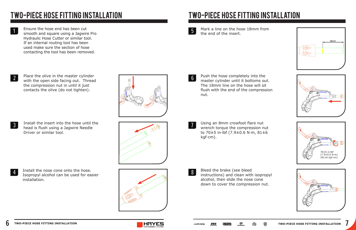

Ensure the hose end has been cut smooth and square using a Jagwire Pro Hydraulic Hose Cutter or similar tool. If an internal routing tool has been used make sure the section of hose contacting the tool has been removed.

Place the olive in the master cylinder with the open side facing out. Thread the compression nut in until it just contacts the olive (do not tighten).

Install the insert into the hose until the head is flush using a Jagwire Needle Driver or similar tool.

# two-PIECE HOSE FITTING INSTALLATION two-PIECE HOSE FITTING INSTALLATION

1

2

3

Install the nose cone onto the hose. Isopropyl alcohol can be used for easier installation.



Mark a line on the hose 18mm from the end of the insert.

Using an 8mm crowfoot flare nut wrench torque the compression nut to 70±5 in·lbf (7.9±0.6 N·m, 81±6 kgf·cm).

Push the hose completely into the master cylinder until it bottoms out. The 18mm line on the hose will sit flush with the end of the compression nut. 6

> Bleed the brake (see bleed instructions) and clean with isopropyl alcohol, then slide the nose cone down to cover the compression nut.

4



7

8